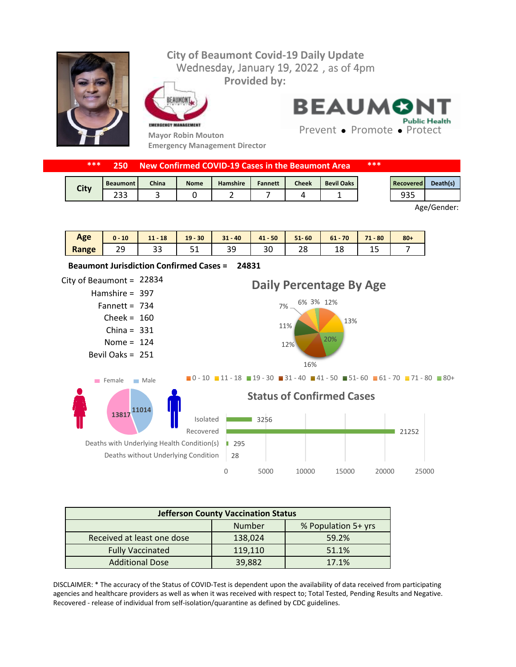## Wednesday, January 19, 2022, as of 4pm **City of Beaumont Covid-19 Daily Update Provided by:**



EAUMONT

**Emergency Management Director**



**BEAUMON Public Health** 

Prevent • Promote • Protect

| ***<br><b>New Confirmed COVID-19 Cases in the Beaumont Area</b><br>250. |                   |       |             |          |         | ***          |                   |  |                  |          |
|-------------------------------------------------------------------------|-------------------|-------|-------------|----------|---------|--------------|-------------------|--|------------------|----------|
| City                                                                    | <b>Beaumont I</b> | China | <b>Nome</b> | Hamshire | Fannett | <b>Cheek</b> | <b>Bevil Oaks</b> |  | <b>Recovered</b> | Death(s) |
|                                                                         |                   |       |             |          |         |              |                   |  |                  |          |

Age/Gender:

| Age   | 10 | 18<br>. .<br>. . | $19 - 30$ | $31 - 40$ | $-50$<br>41 | $51 - 60$ | 61<br>70 | $-80$<br>71 | $80 +$ |
|-------|----|------------------|-----------|-----------|-------------|-----------|----------|-------------|--------|
| Range | -- | --               | ັ         | n c<br>-- | οU          | າ ດ<br>20 | ᅩ        | <b>سد</b>   |        |



| <b>Jefferson County Vaccination Status</b> |         |                     |  |  |  |  |  |
|--------------------------------------------|---------|---------------------|--|--|--|--|--|
|                                            | Number  | % Population 5+ yrs |  |  |  |  |  |
| Received at least one dose                 | 138,024 | 59.2%               |  |  |  |  |  |
| <b>Fully Vaccinated</b>                    | 119,110 | 51.1%               |  |  |  |  |  |
| <b>Additional Dose</b>                     | 39,882  | 17.1%               |  |  |  |  |  |

DISCLAIMER: \* The accuracy of the Status of COVID-Test is dependent upon the availability of data received from participating agencies and healthcare providers as well as when it was received with respect to; Total Tested, Pending Results and Negative. Recovered - release of individual from self-isolation/quarantine as defined by CDC guidelines.